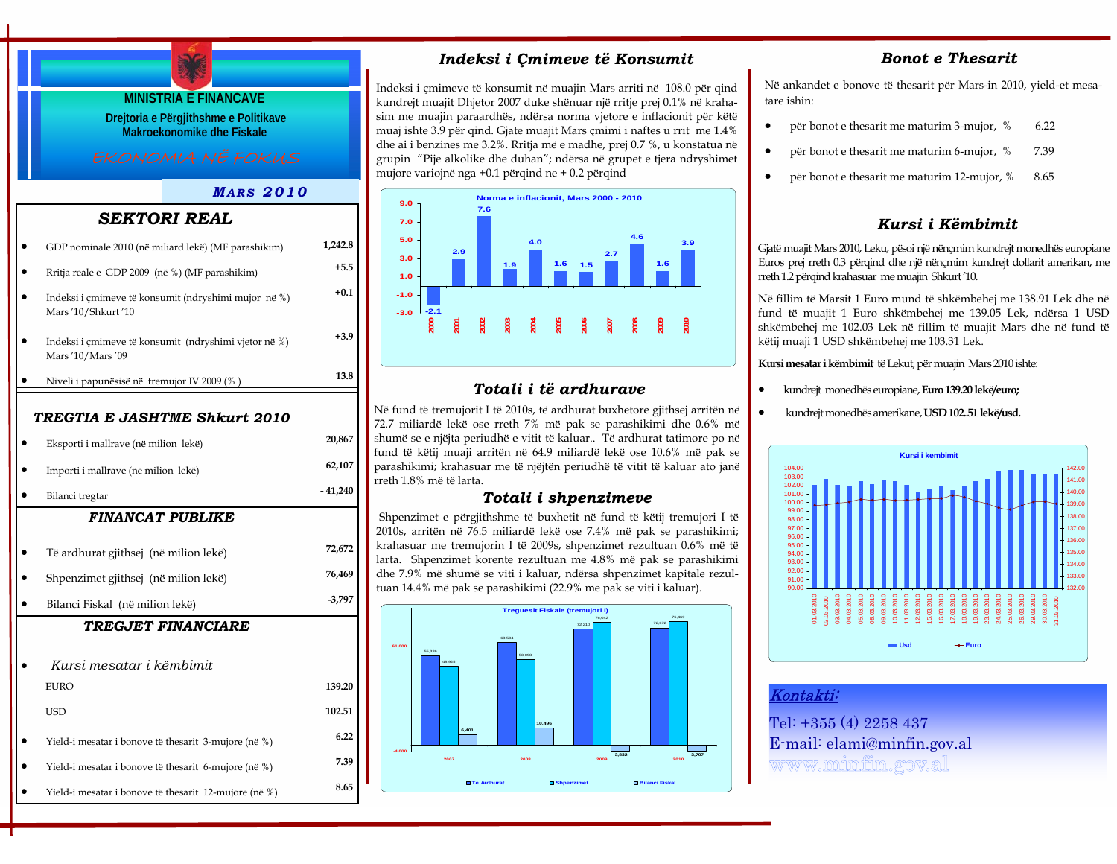# **MINISTRIA E FINANCAVE Drejtoria e Përgjithshme e Politikave Makroekonomike dhe Fiskale** *MARS 2010FINANCAT PUBLIKE*• Të ardhurat gjithsej (në milion lekë) **72,672**  • Shpenzimet gjithsej (në milion lekë) **76,469**  • Bilanci Fiskal (në milion lekë) **-3,797**  *TREGTIA E JASHTME Shkurt 2010*• Eksporti i mallrave (në milion lekë) **20,867**  • Importi i mallrave (në milion lekë) **62,107**  • Bilanci tregtar **- 41,240**   *SEKTORI REAL*• GDP nominale 2010 (në miliard lekë) (MF parashikim) **1,242.8**  • Rritja reale e GDP 2009 (në %) (MF parashikim) **+5.5**  • Indeksi i çmimeve të konsumit (ndryshimi mujor në %) Mars '10/Shkurt '10 • Indeksi i çmimeve të konsumit (ndryshimi vjetor në %) Mars '10/Mars '09 • Niveli i papunësisë në tremujor IV 2009 (% ) **13.8**

**+0.1** 

**+3.9** 

### *TREGJET FINANCIARE*

| Kursi mesatar i këmbimit                              |        |
|-------------------------------------------------------|--------|
| EURO                                                  | 139.20 |
| USD                                                   | 102.51 |
| Yield-i mesatar i bonove të thesarit 3-mujore (në %)  | 6.22   |
| Yield-i mesatar i bonove të thesarit 6-mujore (në %)  | 7.39   |
| Yield-i mesatar i bonove të thesarit 12-mujore (në %) | 8.65   |

# *Indeksi i Çmimeve të Konsumit*

Indeksi i çmimeve të konsumit në muajin Mars arriti në 108.0 për qind kundrejt muajit Dhjetor 2007 duke shënuar një rritje prej 0.1% në krahasim me muajin paraardhës, ndërsa norma vjetore e inflacionit për këtë muaj ishte 3.9 për qind. Gjate muajit Mars çmimi i naftes u rrit me 1.4% dhe ai i benzines me 3.2%. Rritja më e madhe, prej 0.7 %, u konstatua në grupin "Pije alkolike dhe duhan"; ndërsa në grupet e tjera ndryshimet mujore variojnë nga +0.1 përqind ne + 0.2 përqind



# *Totali i të ardhurave*

Në fund të tremujorit I të 2010s, të ardhurat buxhetore gjithsej arritën në 72.7 miliardë lekë ose rreth 7% më pak se parashikimi dhe 0.6% më shumë se e njëjta periudhë e vitit të kaluar.. Të ardhurat tatimore po në fund të këtij muaji arritën në 64.9 miliardë lekë ose 10.6% më pak se parashikimi; krahasuar me të njëjtën periudhë të vitit të kaluar ato janë rreth 1.8% më të larta.

### *Totali i shpenzimeve*

Shpenzimet e përgjithshme të buxhetit në fund të këtij tremujori I të 2010s, arritën në 76.5 miliardë lekë ose 7.4% më pak se parashikimi; krahasuar me tremujorin I të 2009s, shpenzimet rezultuan 0.6% më të larta. Shpenzimet korente rezultuan me 4.8% më pak se parashikimi dhe 7.9% më shumë se viti i kaluar, ndërsa shpenzimet kapitale rezultuan 14.4% më pak se parashikimi (22.9% me pak se viti i kaluar).



# *Bonot e Thesarit*

Në ankandet e bonove të thesarit për Mars-in 2010, yield-et mesatare ishin:

- për bonot e thesarit me maturim 3-mujor, % 6.22
- për bonot e thesarit me maturim 6-mujor, % 7.39
- për bonot e thesarit me maturim 12-mujor, % 8.65

# *Kursi i Këmbimit*

Gjatë muajit Mars 2010, Leku, pësoi një nënçmim kundrejt monedhës europiane Euros prej rreth 0.3 përqind dhe një nënçmim kundrejt dollarit amerikan, me rreth 1.2 përqind krahasuar me muajin Shkurt '10.

Në fillim të Marsit 1 Euro mund të shkëmbehej me 138.91 Lek dhe në fund të muajit 1 Euro shkëmbehej me 139.05 Lek, ndërsa 1 USD shkëmbehej me 102.03 Lek në fillim të muajit Mars dhe në fund të këtij muaji 1 USD shkëmbehej me 103.31 Lek.

**Kursi mesatar i këmbimit** të Lekut, për muajin Mars 2010 ishte:

- kundrejt monedhës europiane, **Euro 139.20 lekë/euro;**
- kundrejt monedhës amerikane, **USD 102..51 lekë/usd.**



### Kontakti:

Tel: +355 (4) 2258 437 E-mail: elami@minfin.gov.al www.minfin.gov.al